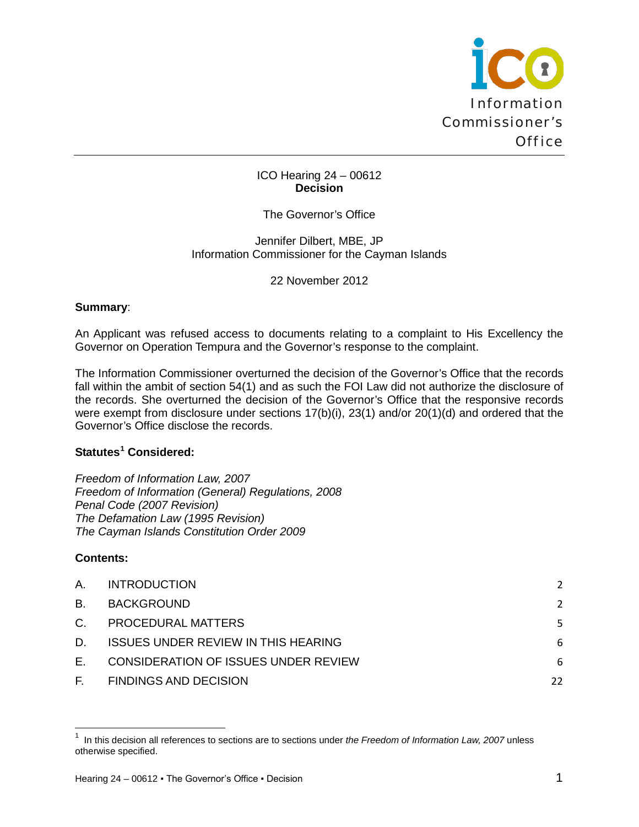

### ICO Hearing 24 – 00612 **Decision**

# The Governor's Office

#### Jennifer Dilbert, MBE, JP Information Commissioner for the Cayman Islands

22 November 2012

#### **Summary**:

An Applicant was refused access to documents relating to a complaint to His Excellency the Governor on Operation Tempura and the Governor's response to the complaint.

The Information Commissioner overturned the decision of the Governor's Office that the records fall within the ambit of section 54(1) and as such the FOI Law did not authorize the disclosure of the records. She overturned the decision of the Governor's Office that the responsive records were exempt from disclosure under sections 17(b)(i), 23(1) and/or 20(1)(d) and ordered that the Governor's Office disclose the records.

# **Statutes[1](#page-0-0) Considered:**

*Freedom of Information Law, 2007 Freedom of Information (General) Regulations, 2008 Penal Code (2007 Revision) The Defamation Law (1995 Revision) The Cayman Islands Constitution Order 2009*

### **Contents:**

 $\overline{\phantom{0}}$ 

| A.          | <b>INTRODUCTION</b>                        | 2             |
|-------------|--------------------------------------------|---------------|
| <b>B.</b>   | <b>BACKGROUND</b>                          | $\mathcal{P}$ |
| $C_{\cdot}$ | PROCEDURAL MATTERS                         | 5             |
| D.          | <b>ISSUES UNDER REVIEW IN THIS HEARING</b> | 6             |
| E.,         | CONSIDERATION OF ISSUES UNDER REVIEW       | 6             |
| E.          | <b>FINDINGS AND DECISION</b>               | 22            |
|             |                                            |               |

<span id="page-0-0"></span><sup>1</sup> In this decision all references to sections are to sections under *the Freedom of Information Law, 2007* unless otherwise specified.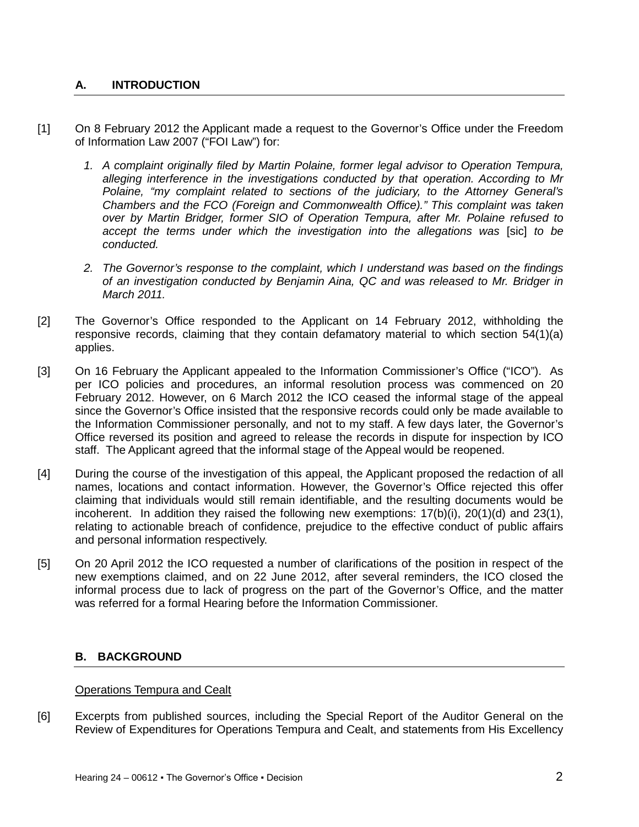# <span id="page-1-0"></span>**A. INTRODUCTION**

- [1] On 8 February 2012 the Applicant made a request to the Governor's Office under the Freedom of Information Law 2007 ("FOI Law") for:
	- *1. A complaint originally filed by Martin Polaine, former legal advisor to Operation Tempura, alleging interference in the investigations conducted by that operation. According to Mr Polaine, "my complaint related to sections of the judiciary, to the Attorney General's Chambers and the FCO (Foreign and Commonwealth Office)." This complaint was taken over by Martin Bridger, former SIO of Operation Tempura, after Mr. Polaine refused to accept the terms under which the investigation into the allegations was* [sic] *to be conducted.*
	- *2. The Governor's response to the complaint, which I understand was based on the findings of an investigation conducted by Benjamin Aina, QC and was released to Mr. Bridger in March 2011.*
- [2] The Governor's Office responded to the Applicant on 14 February 2012, withholding the responsive records, claiming that they contain defamatory material to which section 54(1)(a) applies.
- [3] On 16 February the Applicant appealed to the Information Commissioner's Office ("ICO"). As per ICO policies and procedures, an informal resolution process was commenced on 20 February 2012. However, on 6 March 2012 the ICO ceased the informal stage of the appeal since the Governor's Office insisted that the responsive records could only be made available to the Information Commissioner personally, and not to my staff. A few days later, the Governor's Office reversed its position and agreed to release the records in dispute for inspection by ICO staff. The Applicant agreed that the informal stage of the Appeal would be reopened.
- [4] During the course of the investigation of this appeal, the Applicant proposed the redaction of all names, locations and contact information. However, the Governor's Office rejected this offer claiming that individuals would still remain identifiable, and the resulting documents would be incoherent. In addition they raised the following new exemptions:  $17(b)(i)$ ,  $20(1)(d)$  and  $23(1)$ , relating to actionable breach of confidence, prejudice to the effective conduct of public affairs and personal information respectively.
- [5] On 20 April 2012 the ICO requested a number of clarifications of the position in respect of the new exemptions claimed, and on 22 June 2012, after several reminders, the ICO closed the informal process due to lack of progress on the part of the Governor's Office, and the matter was referred for a formal Hearing before the Information Commissioner.

### <span id="page-1-1"></span>**B. BACKGROUND**

### Operations Tempura and Cealt

[6] Excerpts from published sources, including the Special Report of the Auditor General on the Review of Expenditures for Operations Tempura and Cealt, and statements from His Excellency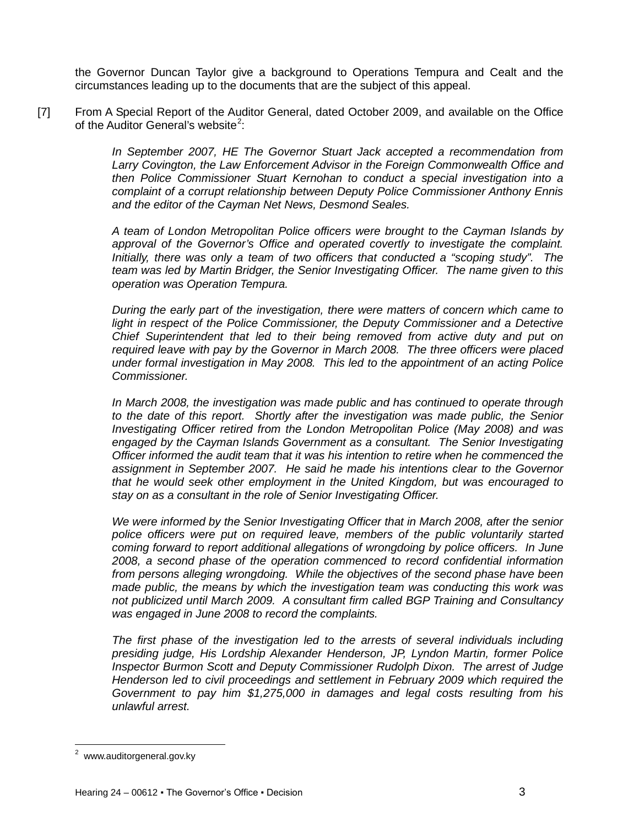the Governor Duncan Taylor give a background to Operations Tempura and Cealt and the circumstances leading up to the documents that are the subject of this appeal.

[7] From A Special Report of the Auditor General, dated October 2009, and available on the Office of the Auditor General's website<sup>[2](#page-2-0)</sup>:

> *In September 2007, HE The Governor Stuart Jack accepted a recommendation from Larry Covington, the Law Enforcement Advisor in the Foreign Commonwealth Office and then Police Commissioner Stuart Kernohan to conduct a special investigation into a complaint of a corrupt relationship between Deputy Police Commissioner Anthony Ennis and the editor of the Cayman Net News, Desmond Seales.*

> *A team of London Metropolitan Police officers were brought to the Cayman Islands by approval of the Governor's Office and operated covertly to investigate the complaint. Initially, there was only a team of two officers that conducted a "scoping study". The team was led by Martin Bridger, the Senior Investigating Officer. The name given to this operation was Operation Tempura.*

> *During the early part of the investigation, there were matters of concern which came to*  light in respect of the Police Commissioner, the Deputy Commissioner and a Detective *Chief Superintendent that led to their being removed from active duty and put on required leave with pay by the Governor in March 2008. The three officers were placed under formal investigation in May 2008. This led to the appointment of an acting Police Commissioner.*

> *In March 2008, the investigation was made public and has continued to operate through*  to the date of this report. Shortly after the investigation was made public, the Senior *Investigating Officer retired from the London Metropolitan Police (May 2008) and was engaged by the Cayman Islands Government as a consultant. The Senior Investigating Officer informed the audit team that it was his intention to retire when he commenced the assignment in September 2007. He said he made his intentions clear to the Governor that he would seek other employment in the United Kingdom, but was encouraged to stay on as a consultant in the role of Senior Investigating Officer.*

> *We were informed by the Senior Investigating Officer that in March 2008, after the senior police officers were put on required leave, members of the public voluntarily started coming forward to report additional allegations of wrongdoing by police officers. In June 2008, a second phase of the operation commenced to record confidential information from persons alleging wrongdoing. While the objectives of the second phase have been made public, the means by which the investigation team was conducting this work was not publicized until March 2009. A consultant firm called BGP Training and Consultancy was engaged in June 2008 to record the complaints.*

> *The first phase of the investigation led to the arrests of several individuals including presiding judge, His Lordship Alexander Henderson, JP, Lyndon Martin, former Police Inspector Burmon Scott and Deputy Commissioner Rudolph Dixon. The arrest of Judge Henderson led to civil proceedings and settlement in February 2009 which required the Government to pay him \$1,275,000 in damages and legal costs resulting from his unlawful arrest.*

<span id="page-2-0"></span><sup>&</sup>lt;u>\_</u><br><sup>2</sup> www.auditorgeneral.gov.ky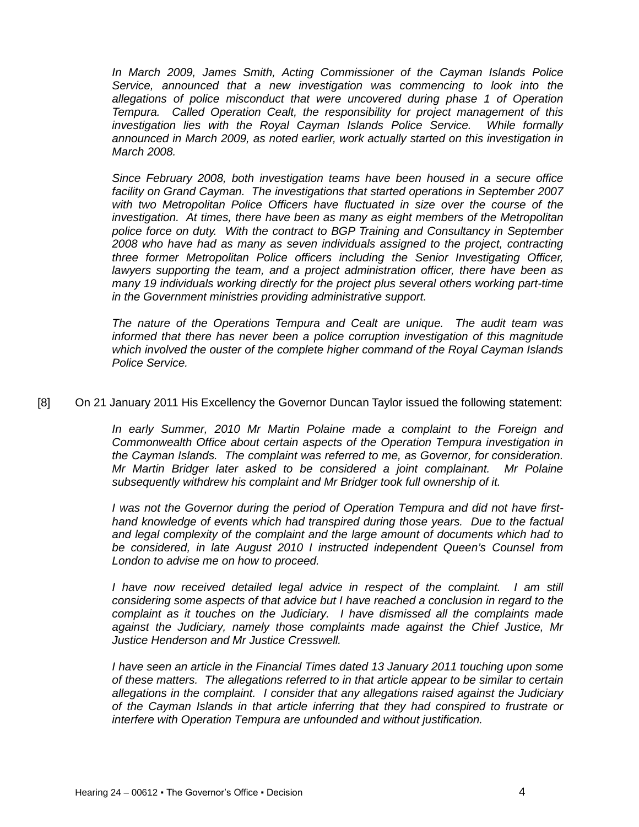*In March 2009, James Smith, Acting Commissioner of the Cayman Islands Police Service, announced that a new investigation was commencing to look into the allegations of police misconduct that were uncovered during phase 1 of Operation Tempura. Called Operation Cealt, the responsibility for project management of this investigation lies with the Royal Cayman Islands Police Service. While formally announced in March 2009, as noted earlier, work actually started on this investigation in March 2008.* 

*Since February 2008, both investigation teams have been housed in a secure office facility on Grand Cayman. The investigations that started operations in September 2007 with two Metropolitan Police Officers have fluctuated in size over the course of the investigation. At times, there have been as many as eight members of the Metropolitan police force on duty. With the contract to BGP Training and Consultancy in September 2008 who have had as many as seven individuals assigned to the project, contracting three former Metropolitan Police officers including the Senior Investigating Officer, lawyers supporting the team, and a project administration officer, there have been as many 19 individuals working directly for the project plus several others working part-time in the Government ministries providing administrative support.*

*The nature of the Operations Tempura and Cealt are unique. The audit team was informed that there has never been a police corruption investigation of this magnitude which involved the ouster of the complete higher command of the Royal Cayman Islands Police Service.*

[8] On 21 January 2011 His Excellency the Governor Duncan Taylor issued the following statement:

*In early Summer, 2010 Mr Martin Polaine made a complaint to the Foreign and Commonwealth Office about certain aspects of the Operation Tempura investigation in the Cayman Islands. The complaint was referred to me, as Governor, for consideration. Mr Martin Bridger later asked to be considered a joint complainant. Mr Polaine subsequently withdrew his complaint and Mr Bridger took full ownership of it.* 

*I was not the Governor during the period of Operation Tempura and did not have firsthand knowledge of events which had transpired during those years. Due to the factual and legal complexity of the complaint and the large amount of documents which had to be considered, in late August 2010 I instructed independent Queen's Counsel from London to advise me on how to proceed.* 

*I have now received detailed legal advice in respect of the complaint. I am still considering some aspects of that advice but I have reached a conclusion in regard to the complaint as it touches on the Judiciary. I have dismissed all the complaints made against the Judiciary, namely those complaints made against the Chief Justice, Mr Justice Henderson and Mr Justice Cresswell.*

*I have seen an article in the Financial Times dated 13 January 2011 touching upon some of these matters. The allegations referred to in that article appear to be similar to certain allegations in the complaint. I consider that any allegations raised against the Judiciary of the Cayman Islands in that article inferring that they had conspired to frustrate or interfere with Operation Tempura are unfounded and without justification.*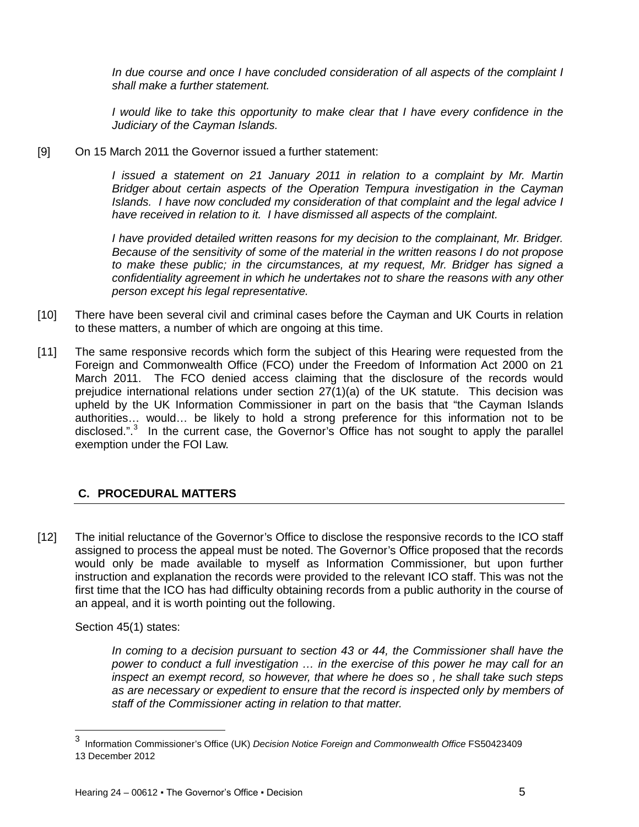*In due course and once I have concluded consideration of all aspects of the complaint I shall make a further statement.* 

*I* would like to take this opportunity to make clear that *I* have every confidence in the *Judiciary of the Cayman Islands.*

[9] On 15 March 2011 the Governor issued a further statement:

*I issued a statement on 21 January 2011 in relation to a complaint by Mr. Martin Bridger about certain aspects of the Operation Tempura investigation in the Cayman Islands. I have now concluded my consideration of that complaint and the legal advice I have received in relation to it. I have dismissed all aspects of the complaint.*

*I have provided detailed written reasons for my decision to the complainant, Mr. Bridger. Because of the sensitivity of some of the material in the written reasons I do not propose to make these public; in the circumstances, at my request, Mr. Bridger has signed a confidentiality agreement in which he undertakes not to share the reasons with any other person except his legal representative.*

- [10] There have been several civil and criminal cases before the Cayman and UK Courts in relation to these matters, a number of which are ongoing at this time.
- [11] The same responsive records which form the subject of this Hearing were requested from the Foreign and Commonwealth Office (FCO) under the Freedom of Information Act 2000 on 21 March 2011. The FCO denied access claiming that the disclosure of the records would prejudice international relations under section  $27(1)(a)$  of the UK statute. This decision was upheld by the UK Information Commissioner in part on the basis that "the Cayman Islands authorities… would… be likely to hold a strong preference for this information not to be disclosed.".<sup>[3](#page-4-1)</sup> In the current case, the Governor's Office has not sought to apply the parallel exemption under the FOI Law.

# <span id="page-4-0"></span>**C. PROCEDURAL MATTERS**

[12] The initial reluctance of the Governor's Office to disclose the responsive records to the ICO staff assigned to process the appeal must be noted. The Governor's Office proposed that the records would only be made available to myself as Information Commissioner, but upon further instruction and explanation the records were provided to the relevant ICO staff. This was not the first time that the ICO has had difficulty obtaining records from a public authority in the course of an appeal, and it is worth pointing out the following.

Section 45(1) states:

ı

In coming to a decision pursuant to section 43 or 44, the Commissioner shall have the *power to conduct a full investigation … in the exercise of this power he may call for an inspect an exempt record, so however, that where he does so , he shall take such steps as are necessary or expedient to ensure that the record is inspected only by members of staff of the Commissioner acting in relation to that matter.*

<span id="page-4-1"></span><sup>3</sup> Information Commissioner's Office (UK) *Decision Notice Foreign and Commonwealth Office* FS50423409 13 December 2012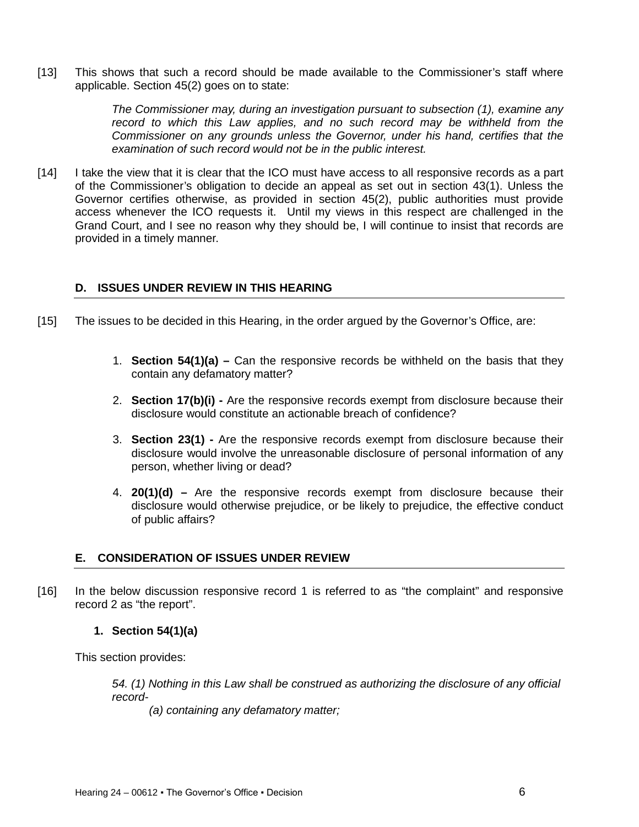[13] This shows that such a record should be made available to the Commissioner's staff where applicable. Section 45(2) goes on to state:

> *The Commissioner may, during an investigation pursuant to subsection (1), examine any*  record to which this Law applies, and no such record may be withheld from the *Commissioner on any grounds unless the Governor, under his hand, certifies that the examination of such record would not be in the public interest.*

[14] I take the view that it is clear that the ICO must have access to all responsive records as a part of the Commissioner's obligation to decide an appeal as set out in section 43(1). Unless the Governor certifies otherwise, as provided in section 45(2), public authorities must provide access whenever the ICO requests it. Until my views in this respect are challenged in the Grand Court, and I see no reason why they should be, I will continue to insist that records are provided in a timely manner.

### <span id="page-5-0"></span>**D. ISSUES UNDER REVIEW IN THIS HEARING**

- [15] The issues to be decided in this Hearing, in the order argued by the Governor's Office, are:
	- 1. **Section 54(1)(a) –** Can the responsive records be withheld on the basis that they contain any defamatory matter?
	- 2. **Section 17(b)(i) -** Are the responsive records exempt from disclosure because their disclosure would constitute an actionable breach of confidence?
	- 3. **Section 23(1) -** Are the responsive records exempt from disclosure because their disclosure would involve the unreasonable disclosure of personal information of any person, whether living or dead?
	- 4. **20(1)(d) –** Are the responsive records exempt from disclosure because their disclosure would otherwise prejudice, or be likely to prejudice, the effective conduct of public affairs?

#### <span id="page-5-1"></span>**E. CONSIDERATION OF ISSUES UNDER REVIEW**

[16] In the below discussion responsive record 1 is referred to as "the complaint" and responsive record 2 as "the report".

#### **1. Section 54(1)(a)**

This section provides:

*54. (1) Nothing in this Law shall be construed as authorizing the disclosure of any official record-*

*(a) containing any defamatory matter;*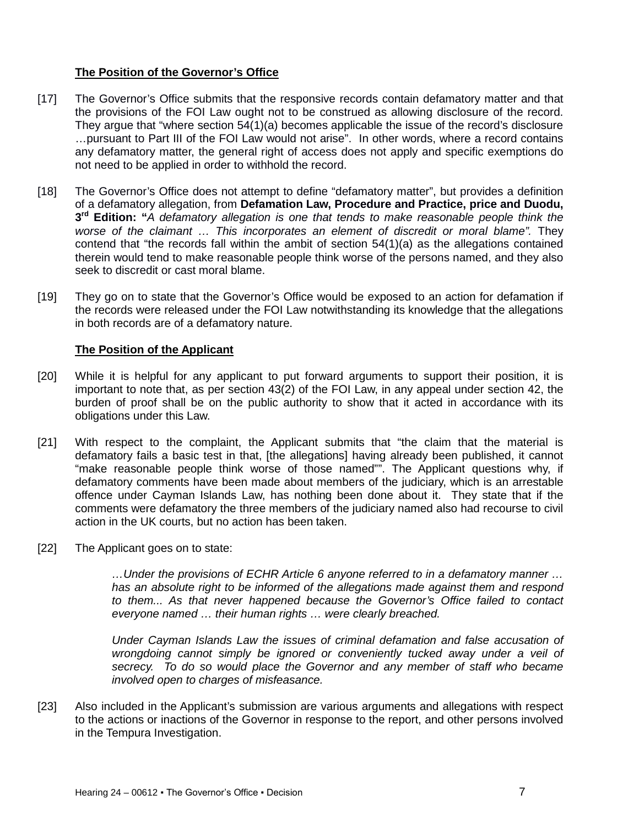# **The Position of the Governor's Office**

- [17] The Governor's Office submits that the responsive records contain defamatory matter and that the provisions of the FOI Law ought not to be construed as allowing disclosure of the record. They argue that "where section 54(1)(a) becomes applicable the issue of the record's disclosure …pursuant to Part III of the FOI Law would not arise". In other words, where a record contains any defamatory matter, the general right of access does not apply and specific exemptions do not need to be applied in order to withhold the record.
- [18] The Governor's Office does not attempt to define "defamatory matter", but provides a definition of a defamatory allegation, from **Defamation Law, Procedure and Practice, price and Duodu, 3rd Edition: "***A defamatory allegation is one that tends to make reasonable people think the*  worse of the claimant ... This incorporates an element of discredit or moral blame". They contend that "the records fall within the ambit of section 54(1)(a) as the allegations contained therein would tend to make reasonable people think worse of the persons named, and they also seek to discredit or cast moral blame.
- [19] They go on to state that the Governor's Office would be exposed to an action for defamation if the records were released under the FOI Law notwithstanding its knowledge that the allegations in both records are of a defamatory nature.

### **The Position of the Applicant**

- [20] While it is helpful for any applicant to put forward arguments to support their position, it is important to note that, as per section 43(2) of the FOI Law, in any appeal under section 42, the burden of proof shall be on the public authority to show that it acted in accordance with its obligations under this Law.
- [21] With respect to the complaint, the Applicant submits that "the claim that the material is defamatory fails a basic test in that, [the allegations] having already been published, it cannot "make reasonable people think worse of those named"". The Applicant questions why, if defamatory comments have been made about members of the judiciary, which is an arrestable offence under Cayman Islands Law, has nothing been done about it. They state that if the comments were defamatory the three members of the judiciary named also had recourse to civil action in the UK courts, but no action has been taken.
- [22] The Applicant goes on to state:

*…Under the provisions of ECHR Article 6 anyone referred to in a defamatory manner … has an absolute right to be informed of the allegations made against them and respond to them... As that never happened because the Governor's Office failed to contact everyone named … their human rights … were clearly breached.*

*Under Cayman Islands Law the issues of criminal defamation and false accusation of wrongdoing cannot simply be ignored or conveniently tucked away under a veil of secrecy. To do so would place the Governor and any member of staff who became involved open to charges of misfeasance.*

[23] Also included in the Applicant's submission are various arguments and allegations with respect to the actions or inactions of the Governor in response to the report, and other persons involved in the Tempura Investigation.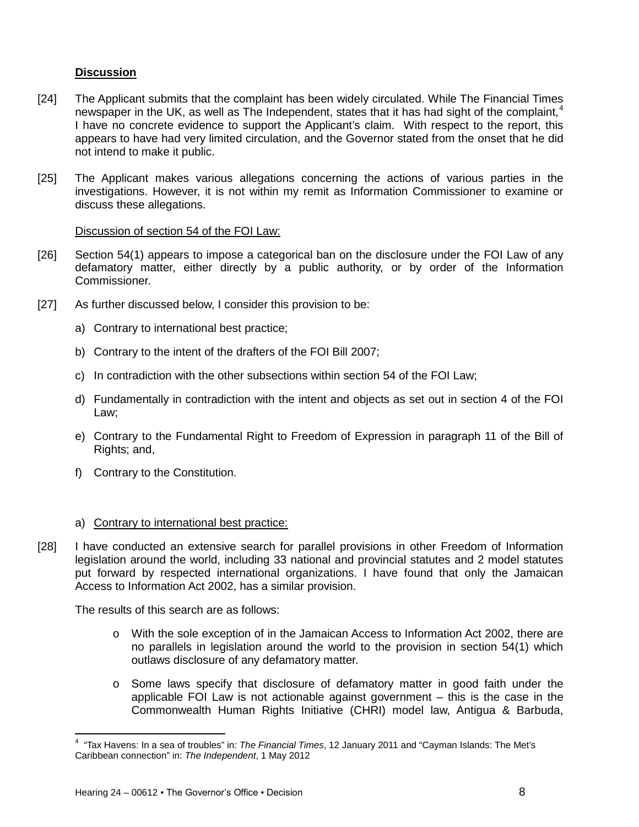# **Discussion**

- [24] The Applicant submits that the complaint has been widely circulated. While The Financial Times newspaper in the UK, as well as The Independent, states that it has had sight of the complaint,  $4$ I have no concrete evidence to support the Applicant's claim. With respect to the report, this appears to have had very limited circulation, and the Governor stated from the onset that he did not intend to make it public.
- [25] The Applicant makes various allegations concerning the actions of various parties in the investigations. However, it is not within my remit as Information Commissioner to examine or discuss these allegations.

### Discussion of section 54 of the FOI Law:

- [26] Section 54(1) appears to impose a categorical ban on the disclosure under the FOI Law of any defamatory matter, either directly by a public authority, or by order of the Information Commissioner.
- [27] As further discussed below, I consider this provision to be:
	- a) Contrary to international best practice;
	- b) Contrary to the intent of the drafters of the FOI Bill 2007;
	- c) In contradiction with the other subsections within section 54 of the FOI Law;
	- d) Fundamentally in contradiction with the intent and objects as set out in section 4 of the FOI Law;
	- e) Contrary to the Fundamental Right to Freedom of Expression in paragraph 11 of the Bill of Rights; and,
	- f) Contrary to the Constitution.

### a) Contrary to international best practice:

[28] I have conducted an extensive search for parallel provisions in other Freedom of Information legislation around the world, including 33 national and provincial statutes and 2 model statutes put forward by respected international organizations. I have found that only the Jamaican Access to Information Act 2002, has a similar provision.

The results of this search are as follows:

- o With the sole exception of in the Jamaican Access to Information Act 2002, there are no parallels in legislation around the world to the provision in section 54(1) which outlaws disclosure of any defamatory matter.
- o Some laws specify that disclosure of defamatory matter in good faith under the applicable FOI Law is not actionable against government – this is the case in the Commonwealth Human Rights Initiative (CHRI) model law, Antigua & Barbuda,

 $\overline{\phantom{0}}$ 

<span id="page-7-0"></span><sup>4</sup> "Tax Havens: In a sea of troubles" in: *The Financial Times*, 12 January 2011 and "Cayman Islands: The Met's Caribbean connection" in: *The Independent*, 1 May 2012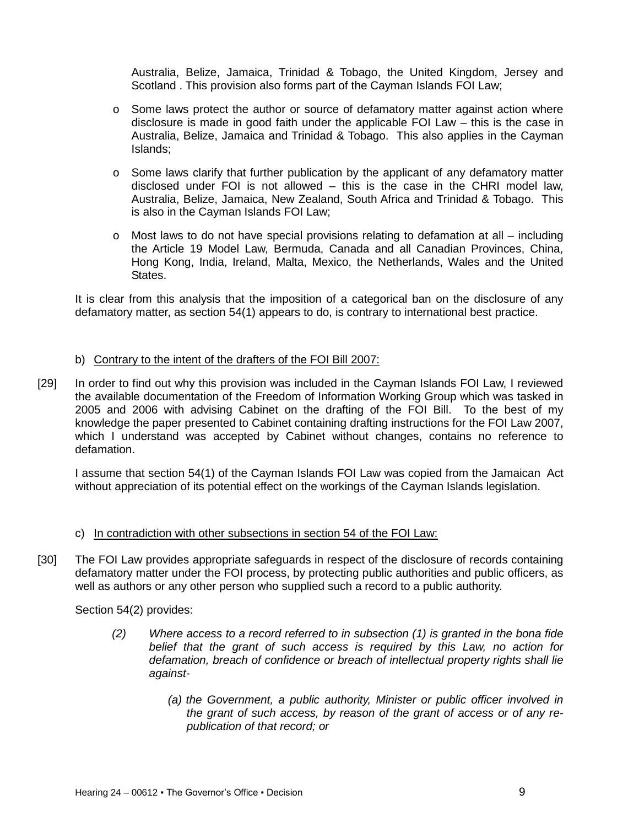Australia, Belize, Jamaica, Trinidad & Tobago, the United Kingdom, Jersey and Scotland . This provision also forms part of the Cayman Islands FOI Law;

- $\circ$  Some laws protect the author or source of defamatory matter against action where disclosure is made in good faith under the applicable FOI Law – this is the case in Australia, Belize, Jamaica and Trinidad & Tobago. This also applies in the Cayman Islands;
- o Some laws clarify that further publication by the applicant of any defamatory matter disclosed under FOI is not allowed – this is the case in the CHRI model law, Australia, Belize, Jamaica, New Zealand, South Africa and Trinidad & Tobago. This is also in the Cayman Islands FOI Law;
- o Most laws to do not have special provisions relating to defamation at all including the Article 19 Model Law, Bermuda, Canada and all Canadian Provinces, China, Hong Kong, India, Ireland, Malta, Mexico, the Netherlands, Wales and the United States.

It is clear from this analysis that the imposition of a categorical ban on the disclosure of any defamatory matter, as section 54(1) appears to do, is contrary to international best practice.

# b) Contrary to the intent of the drafters of the FOI Bill 2007:

[29] In order to find out why this provision was included in the Cayman Islands FOI Law, I reviewed the available documentation of the Freedom of Information Working Group which was tasked in 2005 and 2006 with advising Cabinet on the drafting of the FOI Bill. To the best of my knowledge the paper presented to Cabinet containing drafting instructions for the FOI Law 2007, which I understand was accepted by Cabinet without changes, contains no reference to defamation.

I assume that section 54(1) of the Cayman Islands FOI Law was copied from the Jamaican Act without appreciation of its potential effect on the workings of the Cayman Islands legislation.

### c) In contradiction with other subsections in section 54 of the FOI Law:

[30] The FOI Law provides appropriate safeguards in respect of the disclosure of records containing defamatory matter under the FOI process, by protecting public authorities and public officers, as well as authors or any other person who supplied such a record to a public authority.

Section 54(2) provides:

- *(2) Where access to a record referred to in subsection (1) is granted in the bona fide belief that the grant of such access is required by this Law, no action for defamation, breach of confidence or breach of intellectual property rights shall lie against-*
	- *(a) the Government, a public authority, Minister or public officer involved in the grant of such access, by reason of the grant of access or of any republication of that record; or*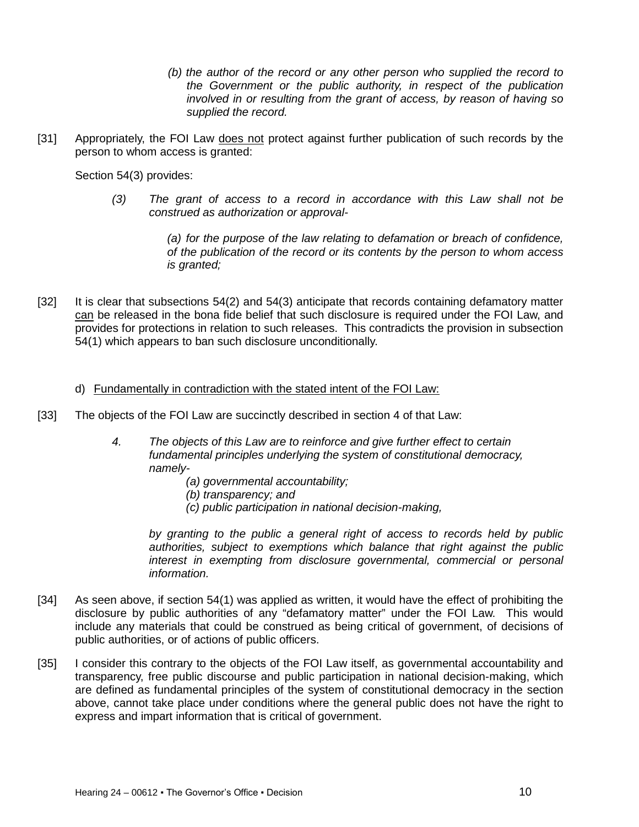- *(b) the author of the record or any other person who supplied the record to the Government or the public authority, in respect of the publication involved in or resulting from the grant of access, by reason of having so supplied the record.*
- [31] Appropriately, the FOI Law does not protect against further publication of such records by the person to whom access is granted:

Section 54(3) provides:

*(3) The grant of access to a record in accordance with this Law shall not be construed as authorization or approval-*

> *(a) for the purpose of the law relating to defamation or breach of confidence, of the publication of the record or its contents by the person to whom access is granted;*

[32] It is clear that subsections 54(2) and 54(3) anticipate that records containing defamatory matter can be released in the bona fide belief that such disclosure is required under the FOI Law, and provides for protections in relation to such releases. This contradicts the provision in subsection 54(1) which appears to ban such disclosure unconditionally.

#### d) Fundamentally in contradiction with the stated intent of the FOI Law:

- [33] The objects of the FOI Law are succinctly described in section 4 of that Law:
	- *4. The objects of this Law are to reinforce and give further effect to certain fundamental principles underlying the system of constitutional democracy, namely-*
		- *(a) governmental accountability;*
		- *(b) transparency; and*
		- *(c) public participation in national decision-making,*

*by granting to the public a general right of access to records held by public authorities, subject to exemptions which balance that right against the public interest in exempting from disclosure governmental, commercial or personal information.*

- [34] As seen above, if section 54(1) was applied as written, it would have the effect of prohibiting the disclosure by public authorities of any "defamatory matter" under the FOI Law. This would include any materials that could be construed as being critical of government, of decisions of public authorities, or of actions of public officers.
- [35] I consider this contrary to the objects of the FOI Law itself, as governmental accountability and transparency, free public discourse and public participation in national decision-making, which are defined as fundamental principles of the system of constitutional democracy in the section above, cannot take place under conditions where the general public does not have the right to express and impart information that is critical of government.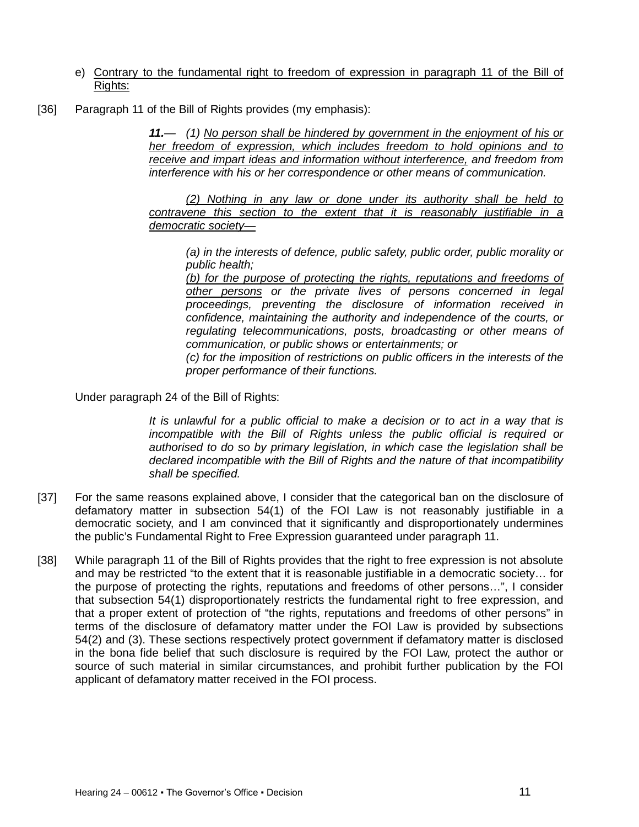- e) Contrary to the fundamental right to freedom of expression in paragraph 11 of the Bill of Rights:
- [36] Paragraph 11 of the Bill of Rights provides (my emphasis):

*11.— (1) No person shall be hindered by government in the enjoyment of his or her freedom of expression, which includes freedom to hold opinions and to receive and impart ideas and information without interference, and freedom from interference with his or her correspondence or other means of communication.*

*(2) Nothing in any law or done under its authority shall be held to contravene this section to the extent that it is reasonably justifiable in a democratic society—*

*(a) in the interests of defence, public safety, public order, public morality or public health;*

*(b) for the purpose of protecting the rights, reputations and freedoms of other persons or the private lives of persons concerned in legal proceedings, preventing the disclosure of information received in confidence, maintaining the authority and independence of the courts, or regulating telecommunications, posts, broadcasting or other means of communication, or public shows or entertainments; or*

*(c) for the imposition of restrictions on public officers in the interests of the proper performance of their functions.*

Under paragraph 24 of the Bill of Rights:

*It is unlawful for a public official to make a decision or to act in a way that is incompatible with the Bill of Rights unless the public official is required or authorised to do so by primary legislation, in which case the legislation shall be declared incompatible with the Bill of Rights and the nature of that incompatibility shall be specified.*

- [37] For the same reasons explained above, I consider that the categorical ban on the disclosure of defamatory matter in subsection 54(1) of the FOI Law is not reasonably justifiable in a democratic society, and I am convinced that it significantly and disproportionately undermines the public's Fundamental Right to Free Expression guaranteed under paragraph 11.
- [38] While paragraph 11 of the Bill of Rights provides that the right to free expression is not absolute and may be restricted "to the extent that it is reasonable justifiable in a democratic society… for the purpose of protecting the rights, reputations and freedoms of other persons…", I consider that subsection 54(1) disproportionately restricts the fundamental right to free expression, and that a proper extent of protection of "the rights, reputations and freedoms of other persons" in terms of the disclosure of defamatory matter under the FOI Law is provided by subsections 54(2) and (3). These sections respectively protect government if defamatory matter is disclosed in the bona fide belief that such disclosure is required by the FOI Law, protect the author or source of such material in similar circumstances, and prohibit further publication by the FOI applicant of defamatory matter received in the FOI process.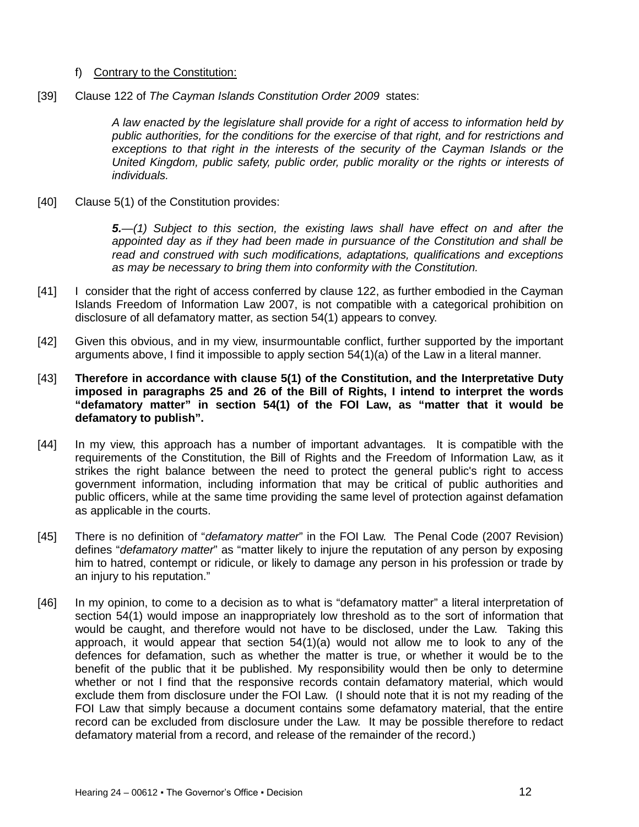### f) Contrary to the Constitution:

[39] Clause 122 of *The Cayman Islands Constitution Order 2009* states:

*A law enacted by the legislature shall provide for a right of access to information held by public authorities, for the conditions for the exercise of that right, and for restrictions and exceptions to that right in the interests of the security of the Cayman Islands or the United Kingdom, public safety, public order, public morality or the rights or interests of individuals.*

[40] Clause 5(1) of the Constitution provides:

*5.—(1) Subject to this section, the existing laws shall have effect on and after the appointed day as if they had been made in pursuance of the Constitution and shall be read and construed with such modifications, adaptations, qualifications and exceptions as may be necessary to bring them into conformity with the Constitution.*

- [41] I consider that the right of access conferred by clause 122, as further embodied in the Cayman Islands Freedom of Information Law 2007, is not compatible with a categorical prohibition on disclosure of all defamatory matter, as section 54(1) appears to convey.
- [42] Given this obvious, and in my view, insurmountable conflict, further supported by the important arguments above, I find it impossible to apply section 54(1)(a) of the Law in a literal manner.
- [43] **Therefore in accordance with clause 5(1) of the Constitution, and the Interpretative Duty imposed in paragraphs 25 and 26 of the Bill of Rights, I intend to interpret the words "defamatory matter" in section 54(1) of the FOI Law, as "matter that it would be defamatory to publish".**
- [44] In my view, this approach has a number of important advantages. It is compatible with the requirements of the Constitution, the Bill of Rights and the Freedom of Information Law, as it strikes the right balance between the need to protect the general public's right to access government information, including information that may be critical of public authorities and public officers, while at the same time providing the same level of protection against defamation as applicable in the courts.
- [45] There is no definition of "*defamatory matter*" in the FOI Law. The Penal Code (2007 Revision) defines "*defamatory matter*" as "matter likely to injure the reputation of any person by exposing him to hatred, contempt or ridicule, or likely to damage any person in his profession or trade by an injury to his reputation."
- [46] In my opinion, to come to a decision as to what is "defamatory matter" a literal interpretation of section 54(1) would impose an inappropriately low threshold as to the sort of information that would be caught, and therefore would not have to be disclosed, under the Law. Taking this approach, it would appear that section  $54(1)(a)$  would not allow me to look to any of the defences for defamation, such as whether the matter is true, or whether it would be to the benefit of the public that it be published. My responsibility would then be only to determine whether or not I find that the responsive records contain defamatory material, which would exclude them from disclosure under the FOI Law. (I should note that it is not my reading of the FOI Law that simply because a document contains some defamatory material, that the entire record can be excluded from disclosure under the Law. It may be possible therefore to redact defamatory material from a record, and release of the remainder of the record.)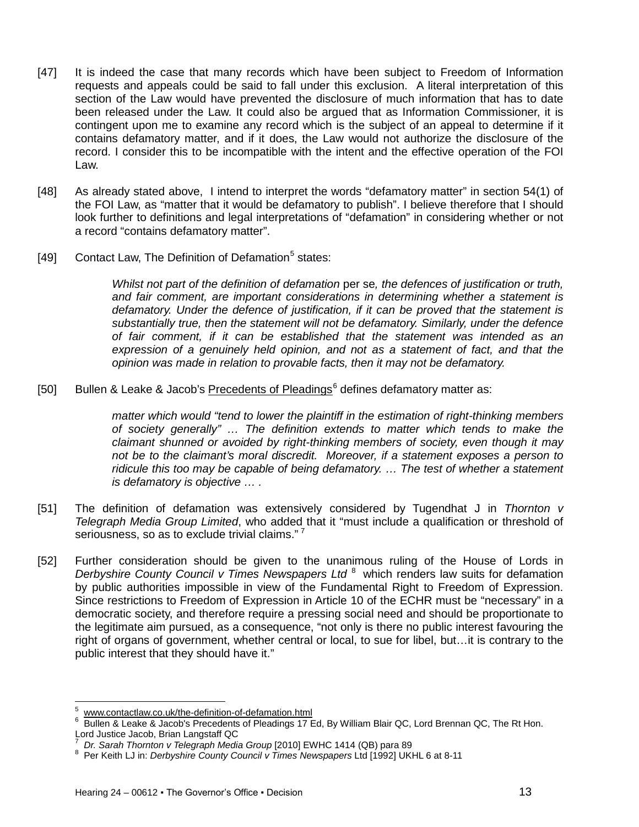- [47] It is indeed the case that many records which have been subject to Freedom of Information requests and appeals could be said to fall under this exclusion. A literal interpretation of this section of the Law would have prevented the disclosure of much information that has to date been released under the Law. It could also be argued that as Information Commissioner, it is contingent upon me to examine any record which is the subject of an appeal to determine if it contains defamatory matter, and if it does, the Law would not authorize the disclosure of the record. I consider this to be incompatible with the intent and the effective operation of the FOI Law.
- [48] As already stated above, I intend to interpret the words "defamatory matter" in section 54(1) of the FOI Law, as "matter that it would be defamatory to publish". I believe therefore that I should look further to definitions and legal interpretations of "defamation" in considering whether or not a record "contains defamatory matter".
- [49] Contact Law, The Definition of Defamation<sup>[5](#page-12-0)</sup> states:

*Whilst not part of the definition of defamation* per se*, the defences of justification or truth, and fair comment, are important considerations in determining whether a statement is defamatory. Under the defence of justification, if it can be proved that the statement is substantially true, then the statement will not be defamatory. Similarly, under the defence of fair comment, if it can be established that the statement was intended as an expression of a genuinely held opinion, and not as a statement of fact, and that the opinion was made in relation to provable facts, then it may not be defamatory.*

[50] Bullen & Leake & Jacob's Precedents of Pleadings $6$  defines defamatory matter as:

*matter which would "tend to lower the plaintiff in the estimation of right-thinking members of society generally" … The definition extends to matter which tends to make the claimant shunned or avoided by right-thinking members of society, even though it may not be to the claimant's moral discredit. Moreover, if a statement exposes a person to ridicule this too may be capable of being defamatory. … The test of whether a statement is defamatory is objective … .*

- [51] The definition of defamation was extensively considered by Tugendhat J in *Thornton v Telegraph Media Group Limited*, who added that it "must include a qualification or threshold of seriousness, so as to exclude trivial claims." <sup>[7](#page-12-2)</sup>
- [52] Further consideration should be given to the unanimous ruling of the House of Lords in *Derbyshire County Council v Times Newspapers Ltd*<sup>[8](#page-12-3)</sup> which renders law suits for defamation by public authorities impossible in view of the Fundamental Right to Freedom of Expression. Since restrictions to Freedom of Expression in Article 10 of the ECHR must be "necessary" in a democratic society, and therefore require a pressing social need and should be proportionate to the legitimate aim pursued, as a consequence, "not only is there no public interest favouring the right of organs of government, whether central or local, to sue for libel, but…it is contrary to the public interest that they should have it."

 $\overline{\phantom{0}}$ 

<span id="page-12-1"></span><span id="page-12-0"></span> $^5$  [www.contactlaw.co.uk/the-definition-of-defamation.html](http://www.contactlaw.co.uk/the-definition-of-defamation.html)<br>6 Bullen & Leake & Jacob's Precedents of Pleadings 17 Ed, By William Blair QC, Lord Brennan QC, The Rt Hon. Lord Justice Jacob, Brian Langstaff QC<br><sup>7</sup> Dr. Sarob Thernton y Telegraph Medi

*Dr. Sarah Thornton v Telegraph Media Group* [2010] EWHC 1414 (QB) para 89

<span id="page-12-3"></span><span id="page-12-2"></span><sup>&</sup>lt;sup>8</sup> Per Keith LJ in: *Derbyshire County Council v Times Newspapers* Ltd [1992] UKHL 6 at 8-11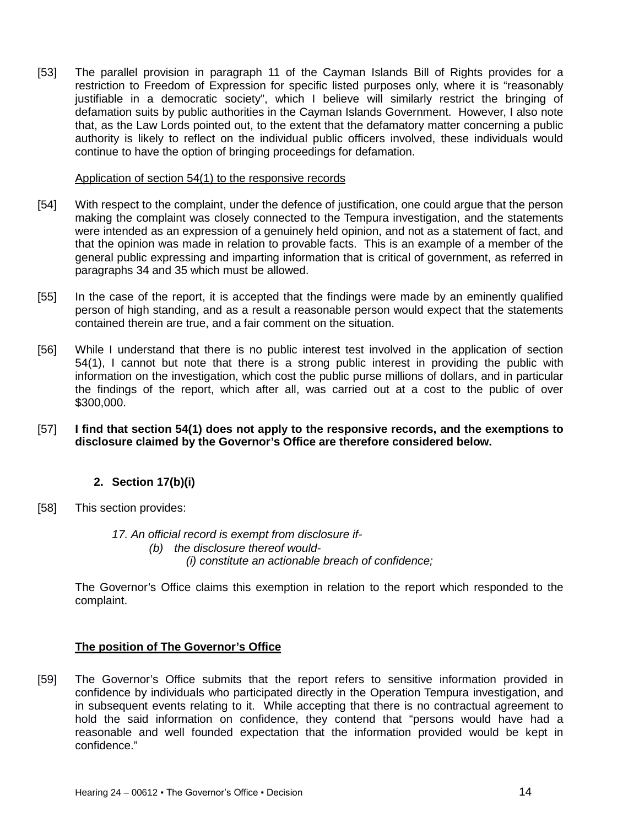[53] The parallel provision in paragraph 11 of the Cayman Islands Bill of Rights provides for a restriction to Freedom of Expression for specific listed purposes only, where it is "reasonably justifiable in a democratic society", which I believe will similarly restrict the bringing of defamation suits by public authorities in the Cayman Islands Government. However, I also note that, as the Law Lords pointed out, to the extent that the defamatory matter concerning a public authority is likely to reflect on the individual public officers involved, these individuals would continue to have the option of bringing proceedings for defamation.

#### Application of section 54(1) to the responsive records

- [54] With respect to the complaint, under the defence of justification, one could argue that the person making the complaint was closely connected to the Tempura investigation, and the statements were intended as an expression of a genuinely held opinion, and not as a statement of fact, and that the opinion was made in relation to provable facts. This is an example of a member of the general public expressing and imparting information that is critical of government, as referred in paragraphs 34 and 35 which must be allowed.
- [55] In the case of the report, it is accepted that the findings were made by an eminently qualified person of high standing, and as a result a reasonable person would expect that the statements contained therein are true, and a fair comment on the situation.
- [56] While I understand that there is no public interest test involved in the application of section 54(1), I cannot but note that there is a strong public interest in providing the public with information on the investigation, which cost the public purse millions of dollars, and in particular the findings of the report, which after all, was carried out at a cost to the public of over \$300,000.
- [57] **I find that section 54(1) does not apply to the responsive records, and the exemptions to disclosure claimed by the Governor's Office are therefore considered below.**

### **2. Section 17(b)(i)**

[58] This section provides:

*17. An official record is exempt from disclosure if- (b) the disclosure thereof would- (i) constitute an actionable breach of confidence;*

The Governor's Office claims this exemption in relation to the report which responded to the complaint.

#### **The position of The Governor's Office**

[59] The Governor's Office submits that the report refers to sensitive information provided in confidence by individuals who participated directly in the Operation Tempura investigation, and in subsequent events relating to it. While accepting that there is no contractual agreement to hold the said information on confidence, they contend that "persons would have had a reasonable and well founded expectation that the information provided would be kept in confidence."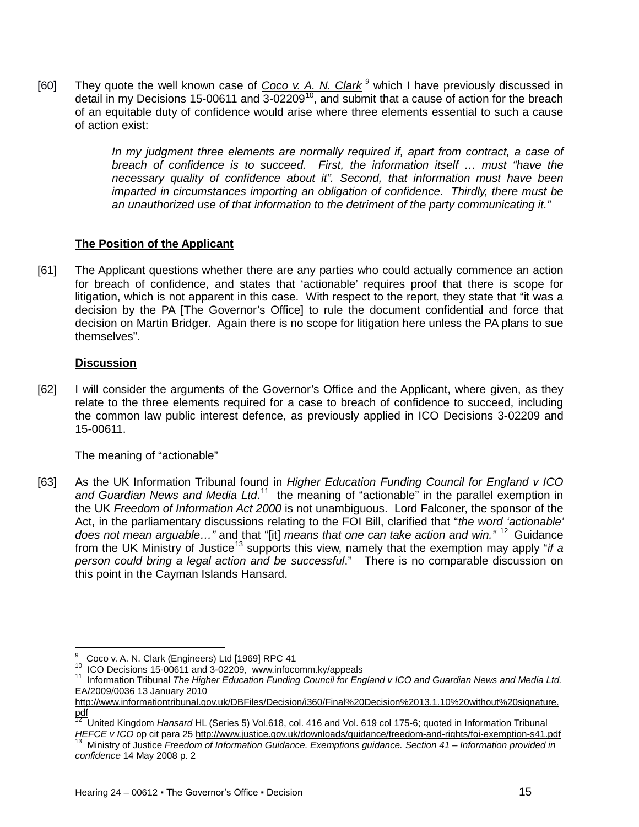[60] They quote the well known case of *Coco v. A. N. Clark [9](#page-14-0)* which I have previously discussed in detail in my Decisions 15-00611 and  $3$ -02209<sup>10</sup>, and submit that a cause of action for the breach of an equitable duty of confidence would arise where three elements essential to such a cause of action exist:

> *In my judgment three elements are normally required if, apart from contract, a case of breach of confidence is to succeed. First, the information itself … must "have the necessary quality of confidence about it". Second, that information must have been imparted in circumstances importing an obligation of confidence. Thirdly, there must be an unauthorized use of that information to the detriment of the party communicating it."*

### **The Position of the Applicant**

[61] The Applicant questions whether there are any parties who could actually commence an action for breach of confidence, and states that 'actionable' requires proof that there is scope for litigation, which is not apparent in this case. With respect to the report, they state that "it was a decision by the PA [The Governor's Office] to rule the document confidential and force that decision on Martin Bridger. Again there is no scope for litigation here unless the PA plans to sue themselves".

#### **Discussion**

 $\overline{\phantom{0}}$ 

[62] I will consider the arguments of the Governor's Office and the Applicant, where given, as they relate to the three elements required for a case to breach of confidence to succeed, including the common law public interest defence, as previously applied in ICO Decisions 3-02209 and 15-00611.

### The meaning of "actionable"

[63] As the UK Information Tribunal found in *Higher Education Funding Council for England v ICO*  and Guardian News and Media Ltd.<sup>11</sup> the meaning of "actionable" in the parallel exemption in the UK *Freedom of Information Act 2000* is not unambiguous. Lord Falconer, the sponsor of the Act, in the parliamentary discussions relating to the FOI Bill, clarified that "*the word 'actionable' does not mean arguable…"* and that "[it] *means that one can take action and win."* [12](#page-14-3) Guidance from the UK Ministry of Justice<sup>[13](#page-14-4)</sup> supports this view, namely that the exemption may apply "*if a person could bring a legal action and be successful*." There is no comparable discussion on this point in the Cayman Islands Hansard.

<span id="page-14-2"></span>

<span id="page-14-1"></span><span id="page-14-0"></span><sup>&</sup>lt;sup>9</sup> Coco v. A. N. Clark (Engineers) Ltd [1969] RPC 41<br><sup>10</sup> ICO Decisions 15-00611 and 3-02209, [www.infocomm.ky/appeals](http://www.infocomm.ky/appeals)<br><sup>11</sup> Information Tribunal *The Higher Education Funding Council for England v ICO and Guardian News and* EA/2009/0036 13 January 2010

[http://www.informationtribunal.gov.uk/DBFiles/Decision/i360/Final%20Decision%2013.1.10%20without%20signature.](http://www.informationtribunal.gov.uk/DBFiles/Decision/i360/Final%20Decision%2013.1.10%20without%20signature.pdf)

<span id="page-14-3"></span>[pdf](http://www.informationtribunal.gov.uk/DBFiles/Decision/i360/Final%20Decision%2013.1.10%20without%20signature.pdf) 12 United Kingdom *Hansard* HL (Series 5) Vol.618, col. 416 and Vol. 619 col 175-6; quoted in Information Tribunal HEFCE v ICO op cit para 2[5 http://www.justice.gov.uk/downloads/guidance/freedom-and-rights/foi-exemption-s41.pdf](http://www.justice.gov.uk/downloads/guidance/freedom-and-rights/foi-exemption-s41.pdf)<br><sup>13</sup> Ministry of Justice Freedom of Information Guidance. Exemptions guidance. Section 41 – Information provi

<span id="page-14-4"></span>*confidence* 14 May 2008 p. 2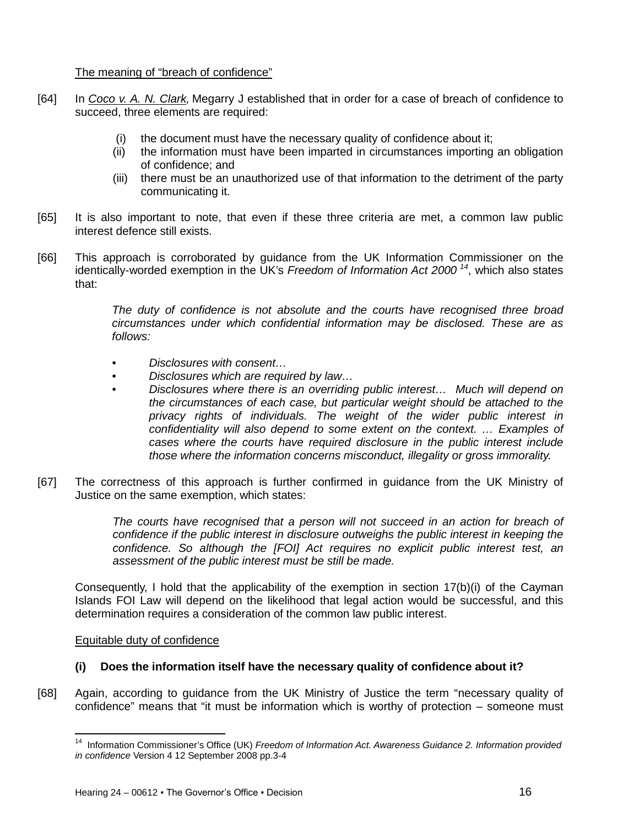The meaning of "breach of confidence"

- [64] In *Coco v. A. N. Clark,* Megarry J established that in order for a case of breach of confidence to succeed, three elements are required:
	- (i) the document must have the necessary quality of confidence about it;
	- (ii) the information must have been imparted in circumstances importing an obligation of confidence; and
	- (iii) there must be an unauthorized use of that information to the detriment of the party communicating it.
- [65] It is also important to note, that even if these three criteria are met, a common law public interest defence still exists.
- [66] This approach is corroborated by guidance from the UK Information Commissioner on the identically-worded exemption in the UK's *Freedom of Information Act 2000 [14](#page-15-0)*, which also states that:

*The duty of confidence is not absolute and the courts have recognised three broad circumstances under which confidential information may be disclosed. These are as follows:*

- *Disclosures with consent…*
- *Disclosures which are required by law…*
- *Disclosures where there is an overriding public interest… Much will depend on the circumstances of each case, but particular weight should be attached to the privacy rights of individuals. The weight of the wider public interest in confidentiality will also depend to some extent on the context. … Examples of cases where the courts have required disclosure in the public interest include those where the information concerns misconduct, illegality or gross immorality.*
- [67] The correctness of this approach is further confirmed in guidance from the UK Ministry of Justice on the same exemption, which states:

The courts have recognised that a person will not succeed in an action for breach of *confidence if the public interest in disclosure outweighs the public interest in keeping the confidence. So although the [FOI] Act requires no explicit public interest test, an assessment of the public interest must be still be made.*

Consequently, I hold that the applicability of the exemption in section 17(b)(i) of the Cayman Islands FOI Law will depend on the likelihood that legal action would be successful, and this determination requires a consideration of the common law public interest.

Equitable duty of confidence

 $\overline{\phantom{0}}$ 

### **(i) Does the information itself have the necessary quality of confidence about it?**

<span id="page-15-0"></span>[68] Again, according to guidance from the UK Ministry of Justice the term "necessary quality of confidence" means that "it must be information which is worthy of protection – someone must

<sup>14</sup> Information Commissioner's Office (UK) *Freedom of Information Act. Awareness Guidance 2. Information provided in confidence* Version 4 12 September 2008 pp.3-4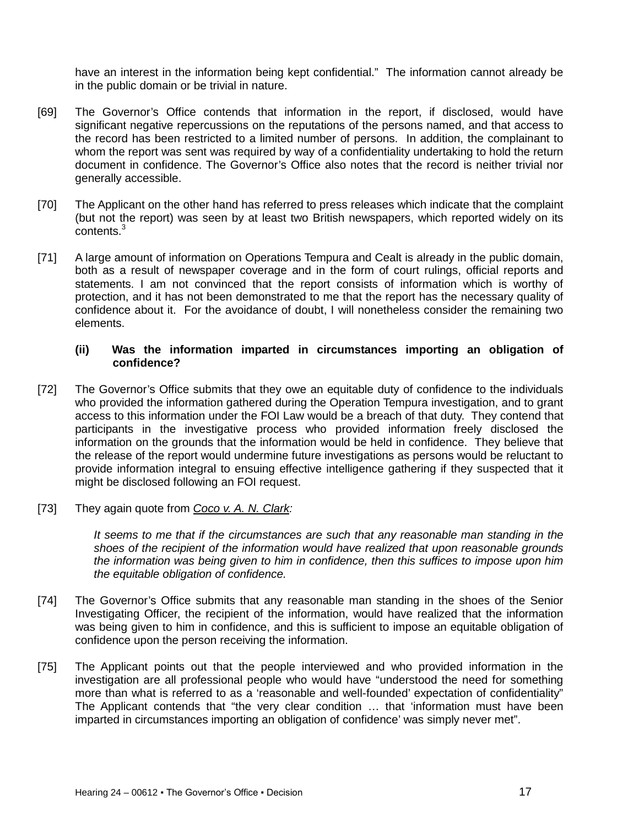have an interest in the information being kept confidential." The information cannot already be in the public domain or be trivial in nature.

- [69] The Governor's Office contends that information in the report, if disclosed, would have significant negative repercussions on the reputations of the persons named, and that access to the record has been restricted to a limited number of persons. In addition, the complainant to whom the report was sent was required by way of a confidentiality undertaking to hold the return document in confidence. The Governor's Office also notes that the record is neither trivial nor generally accessible.
- [70] The Applicant on the other hand has referred to press releases which indicate that the complaint (but not the report) was seen by at least two British newspapers, which reported widely on its contents.<sup>3</sup>
- [71] A large amount of information on Operations Tempura and Cealt is already in the public domain, both as a result of newspaper coverage and in the form of court rulings, official reports and statements. I am not convinced that the report consists of information which is worthy of protection, and it has not been demonstrated to me that the report has the necessary quality of confidence about it. For the avoidance of doubt, I will nonetheless consider the remaining two elements.

#### **(ii) Was the information imparted in circumstances importing an obligation of confidence?**

- [72] The Governor's Office submits that they owe an equitable duty of confidence to the individuals who provided the information gathered during the Operation Tempura investigation, and to grant access to this information under the FOI Law would be a breach of that duty. They contend that participants in the investigative process who provided information freely disclosed the information on the grounds that the information would be held in confidence. They believe that the release of the report would undermine future investigations as persons would be reluctant to provide information integral to ensuing effective intelligence gathering if they suspected that it might be disclosed following an FOI request.
- [73] They again quote from *Coco v. A. N. Clark:*

*It seems to me that if the circumstances are such that any reasonable man standing in the shoes of the recipient of the information would have realized that upon reasonable grounds the information was being given to him in confidence, then this suffices to impose upon him the equitable obligation of confidence.*

- [74] The Governor's Office submits that any reasonable man standing in the shoes of the Senior Investigating Officer, the recipient of the information, would have realized that the information was being given to him in confidence, and this is sufficient to impose an equitable obligation of confidence upon the person receiving the information.
- [75] The Applicant points out that the people interviewed and who provided information in the investigation are all professional people who would have "understood the need for something more than what is referred to as a 'reasonable and well-founded' expectation of confidentiality" The Applicant contends that "the very clear condition … that 'information must have been imparted in circumstances importing an obligation of confidence' was simply never met".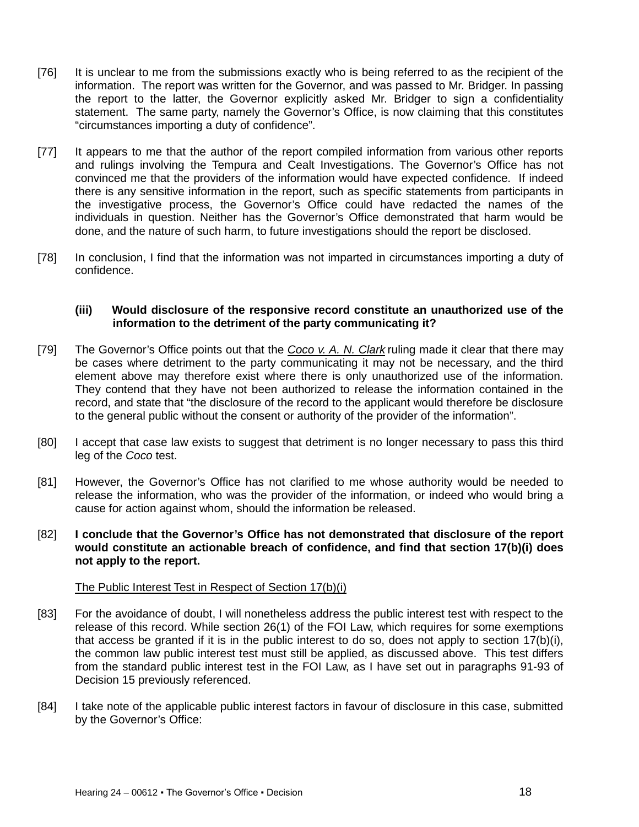- [76] It is unclear to me from the submissions exactly who is being referred to as the recipient of the information. The report was written for the Governor, and was passed to Mr. Bridger. In passing the report to the latter, the Governor explicitly asked Mr. Bridger to sign a confidentiality statement. The same party, namely the Governor's Office, is now claiming that this constitutes "circumstances importing a duty of confidence".
- [77] It appears to me that the author of the report compiled information from various other reports and rulings involving the Tempura and Cealt Investigations. The Governor's Office has not convinced me that the providers of the information would have expected confidence. If indeed there is any sensitive information in the report, such as specific statements from participants in the investigative process, the Governor's Office could have redacted the names of the individuals in question. Neither has the Governor's Office demonstrated that harm would be done, and the nature of such harm, to future investigations should the report be disclosed.
- [78] In conclusion, I find that the information was not imparted in circumstances importing a duty of confidence.

#### **(iii) Would disclosure of the responsive record constitute an unauthorized use of the information to the detriment of the party communicating it?**

- [79] The Governor's Office points out that the *Coco v. A. N. Clark* ruling made it clear that there may be cases where detriment to the party communicating it may not be necessary, and the third element above may therefore exist where there is only unauthorized use of the information. They contend that they have not been authorized to release the information contained in the record, and state that "the disclosure of the record to the applicant would therefore be disclosure to the general public without the consent or authority of the provider of the information".
- [80] I accept that case law exists to suggest that detriment is no longer necessary to pass this third leg of the *Coco* test.
- [81] However, the Governor's Office has not clarified to me whose authority would be needed to release the information, who was the provider of the information, or indeed who would bring a cause for action against whom, should the information be released.
- [82] **I conclude that the Governor's Office has not demonstrated that disclosure of the report would constitute an actionable breach of confidence, and find that section 17(b)(i) does not apply to the report.**

#### The Public Interest Test in Respect of Section 17(b)(i)

- [83] For the avoidance of doubt, I will nonetheless address the public interest test with respect to the release of this record. While section 26(1) of the FOI Law, which requires for some exemptions that access be granted if it is in the public interest to do so, does not apply to section  $17(b)(i)$ , the common law public interest test must still be applied, as discussed above. This test differs from the standard public interest test in the FOI Law, as I have set out in paragraphs 91-93 of Decision 15 previously referenced.
- [84] I take note of the applicable public interest factors in favour of disclosure in this case, submitted by the Governor's Office: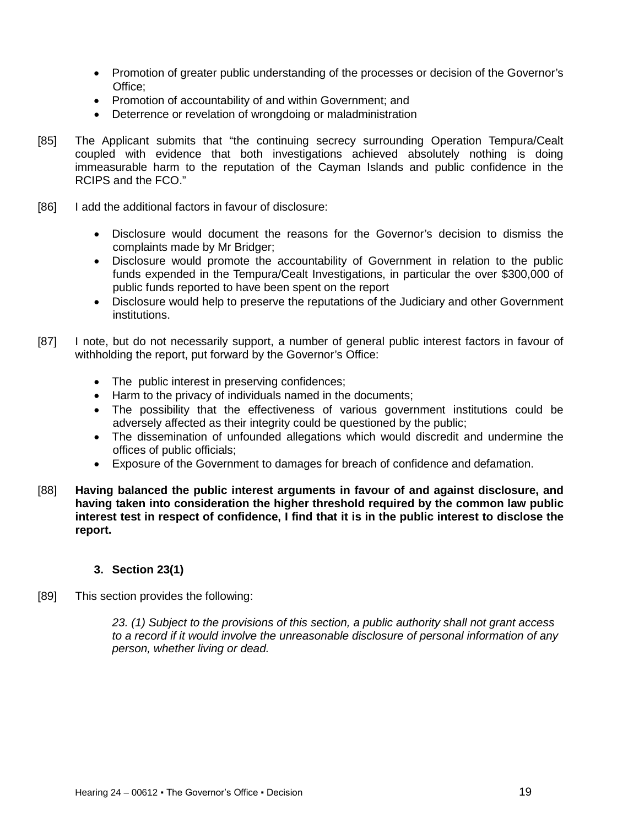- Promotion of greater public understanding of the processes or decision of the Governor's Office;
- Promotion of accountability of and within Government; and
- Deterrence or revelation of wrongdoing or maladministration
- [85] The Applicant submits that "the continuing secrecy surrounding Operation Tempura/Cealt coupled with evidence that both investigations achieved absolutely nothing is doing immeasurable harm to the reputation of the Cayman Islands and public confidence in the RCIPS and the FCO."
- [86] I add the additional factors in favour of disclosure:
	- Disclosure would document the reasons for the Governor's decision to dismiss the complaints made by Mr Bridger;
	- Disclosure would promote the accountability of Government in relation to the public funds expended in the Tempura/Cealt Investigations, in particular the over \$300,000 of public funds reported to have been spent on the report
	- Disclosure would help to preserve the reputations of the Judiciary and other Government institutions.
- [87] I note, but do not necessarily support, a number of general public interest factors in favour of withholding the report, put forward by the Governor's Office:
	- The public interest in preserving confidences;
	- Harm to the privacy of individuals named in the documents;
	- The possibility that the effectiveness of various government institutions could be adversely affected as their integrity could be questioned by the public;
	- The dissemination of unfounded allegations which would discredit and undermine the offices of public officials;
	- Exposure of the Government to damages for breach of confidence and defamation.
- [88] **Having balanced the public interest arguments in favour of and against disclosure, and having taken into consideration the higher threshold required by the common law public interest test in respect of confidence, I find that it is in the public interest to disclose the report.**

### **3. Section 23(1)**

[89] This section provides the following:

*23. (1) Subject to the provisions of this section, a public authority shall not grant access to a record if it would involve the unreasonable disclosure of personal information of any person, whether living or dead.*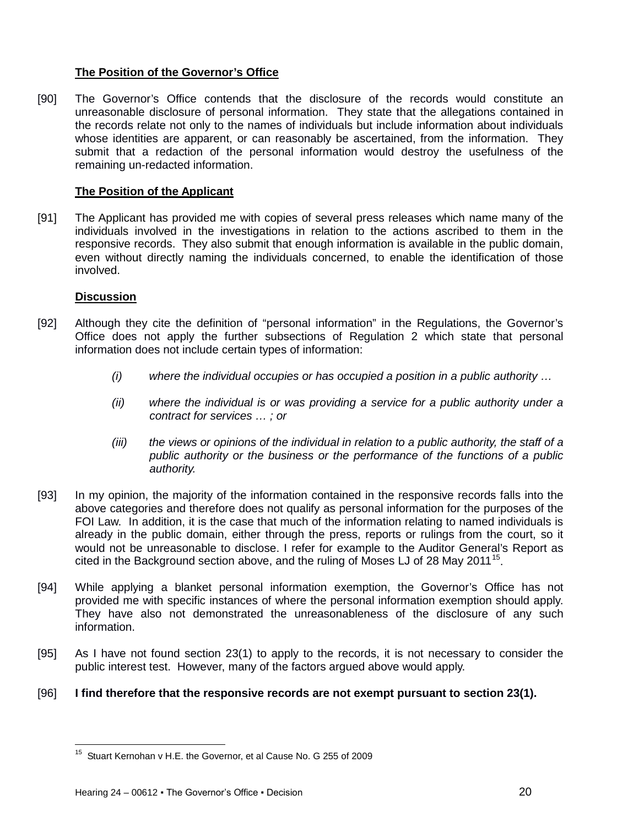# **The Position of the Governor's Office**

[90] The Governor's Office contends that the disclosure of the records would constitute an unreasonable disclosure of personal information. They state that the allegations contained in the records relate not only to the names of individuals but include information about individuals whose identities are apparent, or can reasonably be ascertained, from the information. They submit that a redaction of the personal information would destroy the usefulness of the remaining un-redacted information.

# **The Position of the Applicant**

[91] The Applicant has provided me with copies of several press releases which name many of the individuals involved in the investigations in relation to the actions ascribed to them in the responsive records. They also submit that enough information is available in the public domain, even without directly naming the individuals concerned, to enable the identification of those involved.

### **Discussion**

ı

- [92] Although they cite the definition of "personal information" in the Regulations, the Governor's Office does not apply the further subsections of Regulation 2 which state that personal information does not include certain types of information:
	- *(i) where the individual occupies or has occupied a position in a public authority …*
	- *(ii) where the individual is or was providing a service for a public authority under a contract for services … ; or*
	- *(iii) the views or opinions of the individual in relation to a public authority, the staff of a public authority or the business or the performance of the functions of a public authority.*
- [93] In my opinion, the majority of the information contained in the responsive records falls into the above categories and therefore does not qualify as personal information for the purposes of the FOI Law. In addition, it is the case that much of the information relating to named individuals is already in the public domain, either through the press, reports or rulings from the court, so it would not be unreasonable to disclose. I refer for example to the Auditor General's Report as cited in the Background section above, and the ruling of Moses LJ of 28 May 2011<sup>[15](#page-19-0)</sup>.
- [94] While applying a blanket personal information exemption, the Governor's Office has not provided me with specific instances of where the personal information exemption should apply. They have also not demonstrated the unreasonableness of the disclosure of any such information.
- [95] As I have not found section 23(1) to apply to the records, it is not necessary to consider the public interest test. However, many of the factors argued above would apply.

### <span id="page-19-0"></span>[96] **I find therefore that the responsive records are not exempt pursuant to section 23(1).**

 $15$  Stuart Kernohan v H.E. the Governor, et al Cause No. G 255 of 2009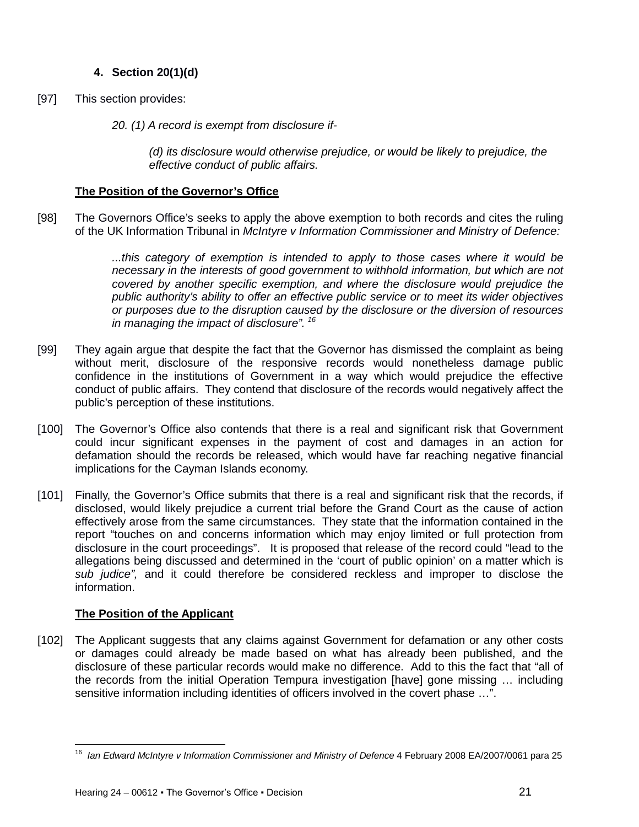# **4. Section 20(1)(d)**

- [97] This section provides:
	- *20. (1) A record is exempt from disclosure if-*

*(d) its disclosure would otherwise prejudice, or would be likely to prejudice, the effective conduct of public affairs.*

# **The Position of the Governor's Office**

[98] The Governors Office's seeks to apply the above exemption to both records and cites the ruling of the UK Information Tribunal in *McIntyre v Information Commissioner and Ministry of Defence:*

> *...this category of exemption is intended to apply to those cases where it would be necessary in the interests of good government to withhold information, but which are not covered by another specific exemption, and where the disclosure would prejudice the public authority's ability to offer an effective public service or to meet its wider objectives or purposes due to the disruption caused by the disclosure or the diversion of resources in managing the impact of disclosure". [16](#page-20-0)*

- [99] They again argue that despite the fact that the Governor has dismissed the complaint as being without merit, disclosure of the responsive records would nonetheless damage public confidence in the institutions of Government in a way which would prejudice the effective conduct of public affairs. They contend that disclosure of the records would negatively affect the public's perception of these institutions.
- [100] The Governor's Office also contends that there is a real and significant risk that Government could incur significant expenses in the payment of cost and damages in an action for defamation should the records be released, which would have far reaching negative financial implications for the Cayman Islands economy.
- [101] Finally, the Governor's Office submits that there is a real and significant risk that the records, if disclosed, would likely prejudice a current trial before the Grand Court as the cause of action effectively arose from the same circumstances. They state that the information contained in the report "touches on and concerns information which may enjoy limited or full protection from disclosure in the court proceedings". It is proposed that release of the record could "lead to the allegations being discussed and determined in the 'court of public opinion' on a matter which is *sub judice",* and it could therefore be considered reckless and improper to disclose the information.

# **The Position of the Applicant**

ı

[102] The Applicant suggests that any claims against Government for defamation or any other costs or damages could already be made based on what has already been published, and the disclosure of these particular records would make no difference. Add to this the fact that "all of the records from the initial Operation Tempura investigation [have] gone missing … including sensitive information including identities of officers involved in the covert phase …".

<span id="page-20-0"></span><sup>16</sup> *Ian Edward McIntyre v Information Commissioner and Ministry of Defence* 4 February 2008 EA/2007/0061 para 25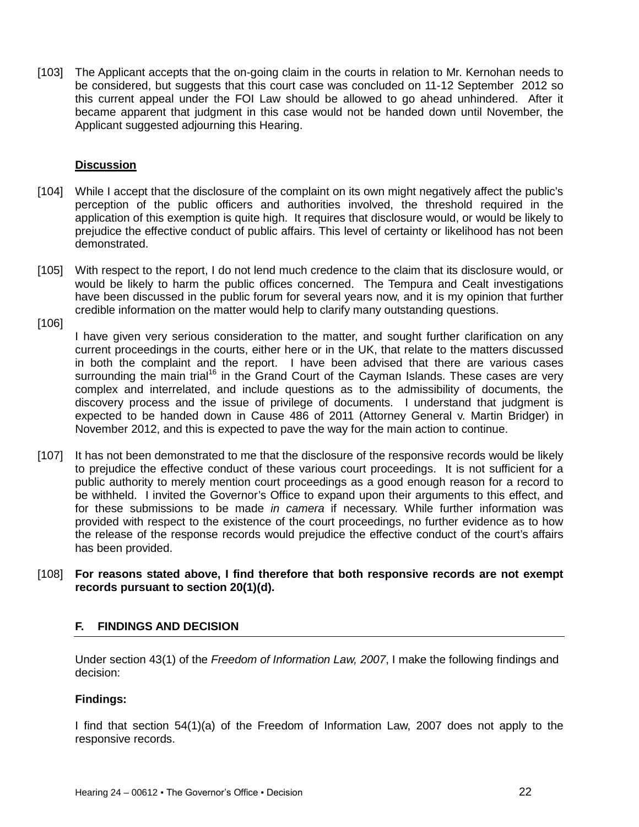[103] The Applicant accepts that the on-going claim in the courts in relation to Mr. Kernohan needs to be considered, but suggests that this court case was concluded on 11-12 September 2012 so this current appeal under the FOI Law should be allowed to go ahead unhindered. After it became apparent that judgment in this case would not be handed down until November, the Applicant suggested adjourning this Hearing.

### **Discussion**

- [104] While I accept that the disclosure of the complaint on its own might negatively affect the public's perception of the public officers and authorities involved, the threshold required in the application of this exemption is quite high. It requires that disclosure would, or would be likely to prejudice the effective conduct of public affairs. This level of certainty or likelihood has not been demonstrated.
- [105] With respect to the report, I do not lend much credence to the claim that its disclosure would, or would be likely to harm the public offices concerned. The Tempura and Cealt investigations have been discussed in the public forum for several years now, and it is my opinion that further credible information on the matter would help to clarify many outstanding questions.

[106]

I have given very serious consideration to the matter, and sought further clarification on any current proceedings in the courts, either here or in the UK, that relate to the matters discussed in both the complaint and the report. I have been advised that there are various cases surrounding the main trial<sup>16</sup> in the Grand Court of the Cayman Islands. These cases are very complex and interrelated, and include questions as to the admissibility of documents, the discovery process and the issue of privilege of documents. I understand that judgment is expected to be handed down in Cause 486 of 2011 (Attorney General v. Martin Bridger) in November 2012, and this is expected to pave the way for the main action to continue.

[107] It has not been demonstrated to me that the disclosure of the responsive records would be likely to prejudice the effective conduct of these various court proceedings. It is not sufficient for a public authority to merely mention court proceedings as a good enough reason for a record to be withheld. I invited the Governor's Office to expand upon their arguments to this effect, and for these submissions to be made *in camera* if necessary. While further information was provided with respect to the existence of the court proceedings, no further evidence as to how the release of the response records would prejudice the effective conduct of the court's affairs has been provided.

#### [108] **For reasons stated above, I find therefore that both responsive records are not exempt records pursuant to section 20(1)(d).**

### <span id="page-21-0"></span>**F. FINDINGS AND DECISION**

Under section 43(1) of the *Freedom of Information Law, 2007*, I make the following findings and decision:

#### **Findings:**

I find that section 54(1)(a) of the Freedom of Information Law, 2007 does not apply to the responsive records.